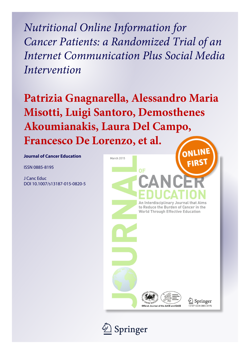*Nutritional Online Information for Cancer Patients: a Randomized Trial of an Internet Communication Plus Social Media Intervention*

**Patrizia Gnagnarella, Alessandro Maria Misotti, Luigi Santoro, Demosthenes Akoumianakis, Laura Del Campo, Francesco De Lorenzo, et al.**



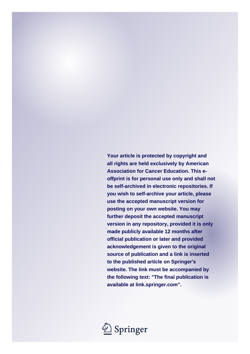**Your article is protected by copyright and all rights are held exclusively by American Association for Cancer Education. This eoffprint is for personal use only and shall not be self-archived in electronic repositories. If you wish to self-archive your article, please use the accepted manuscript version for posting on your own website. You may further deposit the accepted manuscript version in any repository, provided it is only made publicly available 12 months after official publication or later and provided acknowledgement is given to the original source of publication and a link is inserted to the published article on Springer's website. The link must be accompanied by the following text: "The final publication is available at link.springer.com".**

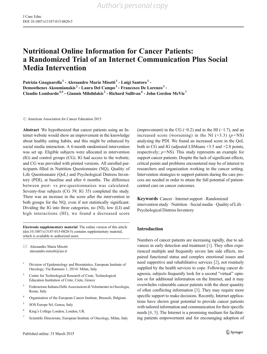# Nutritional Online Information for Cancer Patients: a Randomized Trial of an Internet Communication Plus Social Media Intervention

Patrizia Gnagnarella<sup>1</sup> · Alessandro Maria Misotti<sup>1</sup> · Luigi Santoro<sup>1</sup> · Demosthenes Akoumianakis<sup>2</sup> · Laura Del Campo<sup>3</sup> · Francesco De Lorenzo<sup>3</sup> · Claudio Lombardo<sup>4,5</sup> · Giannis Milolidakis<sup>2</sup> · Richard Sullivan<sup>6</sup> · John Gordon McVie<sup>7</sup>

 $\oslash$  American Association for Cancer Education 2015

Abstract We hypothesized that cancer patients using an Internet website would show an improvement in the knowledge about healthy eating habits, and this might be enhanced by social media interaction. A 6-month randomized intervention was set up. Eligible subjects were allocated in intervention (IG) and control groups (CG). IG had access to the website, and CG was provided with printed versions. All enrolled participants filled in Nutrition Questionnaire (NQ), Quality of Life Questionnaire (QoL) and Psychological Distress Inventory (PDI), at baseline and after 6 months. The difference between post- vs pre-questionnaires was calculated. Seventy-four subjects (CG 39; IG 35) completed the study. There was an increase in the score after the intervention in both groups for the NQ, even if not statistically significant. Dividing the IG into three categories, no (NI), low (LI) and high interactions (HI), we found a decreased score

Electronic supplementary material The online version of this article (doi[:10.1007/s13187-015-0820-5](http://dx.doi.org/10.1007/s13187-015-0820-5)) contains supplementary material, which is available to authorized users.

 $\boxtimes$  Alessandro Maria Misotti alessandro.misotti@ieo.it

- <sup>1</sup> Division of Epidemiology and Biostatistics, European Institute of Oncology, Via Ramusio 1, 20141 Milan, Italy
- <sup>2</sup> Centre for Technological Research of Crete, Technological Education Institution of Crete, Crete, Greece
- <sup>3</sup> Federazione Italiana Delle Associazioni di Volontariato in Oncologia, Rome, Italy
- <sup>4</sup> Organisation of the European Cancer Institute, Brussels, Belgium
- <sup>5</sup> SOS Europe Srl, Genoa, Italy
- <sup>6</sup> King's College London, London, UK
- <sup>7</sup> Scientific Directorate, European Institute of Oncology, Milan, Italy

(improvement) in the CG ( $-0.2$ ) and in the HI ( $-1.7$ ), and an increased score (worsening) in the NI  $(+3.3)$  ( $p=NS$ ) analysing the PDI. We found an increased score in the QoL both in CG and IG (adjusted LSMeans +3.5 and +2.8 points, respectively; p=NS). This study represents an example for support cancer patients. Despite the lack of significant effects, critical points and problems encountered may be of interest to researchers and organization working in the cancer setting. Intervention strategies to support patients during the care process are needed in order to attain the full potential of patientcentred care on cancer outcomes.

Keywords Cancer . Internet support . Randomized intervention study . Nutrition . Social media . Quality of Life . Psychological Distress Inventory

# Introduction

Numbers of cancer patients are increasing rapidly, due to advances in early detection and treatment [\[1](#page-10-0)]. They often experienced multiple and frequently severe late side effects, impaired functional status and complex emotional issues and need supportive and rehabilitative services [\[2](#page-10-0)], not routinely supplied by the health services to cope. Following cancer diagnosis, subjects frequently look for a second "virtual" opinion or for additional information on the Internet, and it may overwhelm vulnerable cancer patients with the sheer quantity of often conflicting information [\[3\]](#page-10-0). They may require more specific support to make decisions. Recently, Internet applications have shown great potential to provide cancer patients with tailored information and communication for their specific needs [[4,](#page-10-0) [5\]](#page-10-0). The Internet is a promising medium for facilitating patients empowerment and for encouraging adoption of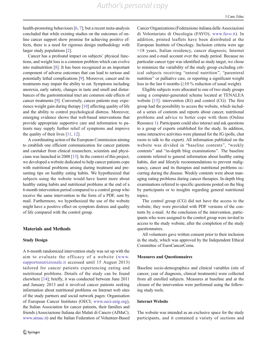health-promoting behaviours [[6,](#page-10-0) [7](#page-10-0)]; but a recent meta-analysis concluded that while existing studies on the outcomes of online cancer support show promise for achieving positive effects, there is a need for rigorous design methodology with larger study populations [[2\]](#page-10-0).

Cancer has a profound impact on subjects' physical functions, and weight loss is a common problem which can evolve into malnutrition [[8\]](#page-10-0). It has been recognized as an important component of adverse outcomes that can lead to serious and potentially lethal complications [\[9\]](#page-10-0). Moreover, cancer and its treatments may impair the ability to eat. Symptoms including anorexia, early satiety, changes in taste and smell and disturbances of the gastrointestinal tract are common side effects of cancer treatments [\[9\]](#page-10-0). Conversely, cancer patients may experience weight gain during therapy [[10\]](#page-10-0) affecting quality of life and the ability to control psychological distress. Moreover, emerging evidence shows that web-based interventions that provide appropriate supportive care and information to patients may supply further relief of symptoms and improve the quality of their lives [[11](#page-10-0), [12](#page-10-0)].

A coordinating action of the European Commission aiming to establish one efficient communication for cancer patients and caretaker from clinical researchers, scientists and physicians was launched in 2008 [[13\]](#page-10-0). In the context of this project, we developed a website dedicated to help cancer patients cope with nutritional problems arising during treatment and presenting tips on healthy eating habits. We hypothesized that subjects using the website would have learnt more about healthy eating habits and nutritional problems at the end of a 6-month intervention period compared to a control group who receive the same intervention in the form of a PDF, sent by mail. Furthermore, we hypothesized the use of the website might have a positive effect on symptom distress and quality of life compared with the control group.

# Materials and Methods

#### Study Design

A 6-month randomized intervention study was set up with the aim to evaluate the efficacy of a website ([www.](http://www.supportonutrizionale.it/) [supportonutrizionale.it](http://www.supportonutrizionale.it/) accessed until 15 August 2013) tailored for cancer patients experiencing eating and nutritional problems. Details of the study can be found elsewhere [[14](#page-10-0)]; briefly, it was conducted between June 2011 and January 2013 and it involved cancer patients seeking information about nutritional problems on Internet web sites of the study partners and social network pages: Organisation of European Cancer Institutes (OECI; [www.oeci-eeig.org](http://www.oeci-eeig.org/)), the Italian Association for cancer patients, their families and friends (Associazione Italiana dei Malati di Cancro (AIMaC); [www.aimac.it\)](http://www.aimac.it/) and the Italian Federation of Volunteer-Based Cancer Organizations (Federazione italiana delle Associazioni di Volontariato di Oncologia (FAVO); [www.favo.it\)](http://www.favo.it/). In addition, printed leaflets have been distributed at the European Institute of Oncology. Inclusion criteria were age >18 years, Italian residency, cancer diagnosis, Internet access and e-mail account over the study period. Because no particular cancer type was identified as study target, we chose to minimize the variability of the study group excluding critical subjects receiving "enteral nutrition", "parenteral nutrition" or palliative care, or reporting a significant weight loss in the last 6 months  $(≥10 %$  reduction of usual weight).

Eligible subjects were allocated to one of two study groups using a computer-generated scheme located at TENALEA website [[15\]](#page-10-0): intervention (IG) and control (CG). The first group had the possibility to access the website, which included a series of contents and reports about cancer, nutritional problems and advice to better cope with them (Online Resource 1). Participants could also interact and ask questions to a group of experts established for the study. In addition, some interactive activities were planned for the IG (polls, chat room to talk to the expert). All information published on the website was divided in "baseline contents", "weekly contents" and "in-depth blog examinations". The baseline contents referred to general information about healthy eating habits, diet and lifestyle recommendations to prevent malignancy, cancer and its therapies and nutritional problems occurring during the disease. Weekly contents were about managing eating problems during cancer therapies. In-depth blog examinations referred to specific questions posted on the blog by participants or to insights regarding general nutritional topics.

The control group (CG) did not have the access to the website; they were provided with PDF versions of the contents by e-mail. At the conclusion of the intervention, participants who were assigned to the control group were invited to access to the study website, after the completion of the study questionnaires.

All volunteers gave written consent prior to their inclusion in the study, which was approved by the Independent Ethical Committee of EuroCancerComs.

#### Measures and Questionnaires

Baseline socio-demographics and clinical variables (site of cancer, year of diagnosis, clinical treatments) were collected from all enrolled subjects. Measures at baseline and at the closure of the intervention were performed using the following study tools.

## Internet Website

The website was intended as an exclusive space for the study participants, and it contained a variety of sections and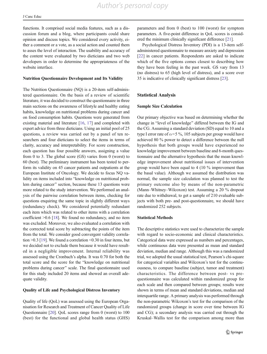functions. It comprised social media features, such as a discussion forum and a blog, where participants could share opinion and discuss topics. We considered every activity, either a comment or a vote, as a social action and counted them to asses the level of interaction. The usability and accuracy of the content were evaluated by two dieticians and two web developers in order to determine the appropriateness of the website interface.

#### Nutrition Questionnaire Development and Its Validity

The Nutrition Questionnaire (NQ) is a 20-item self-administered questionnaire. On the basis of a review of scientific literature, it was decided to construct the questionnaire in three main sections on the awareness of lifestyle and healthy eating habits, knowledge on nutritional problems during cancer and on food consumption habits. Questions were generated from existing material and literature [\[16](#page-10-0), [17\]](#page-10-0) and completed with expert advice from three dieticians. Using an initial pool of 25 questions, a review was carried out by a panel of ten researchers and four dieticians to select the items in terms of clarity, accuracy and interpretability. For score construction, each question has four possible answers, assigning a value from 0 to 3. The global score (GS) varies from 0 (worst) to 60 (best). The preliminary instrument has been tested to perform its validity on 45 cancer patients and outpatients at the European Institute of Oncology. We decide to focus NQ validity on items included into "knowledge on nutritional problem during cancer" section, because these 13 questions were more related to the study intervention. We performed an analysis of the pairwise correlation between items, checking for questions enquiring the same topic in slightly different ways (redundancy check). We considered potentially redundant each item which was related to other items with a correlation coefficient >0.6 [[18\]](#page-10-0). We found no redundancy, and no item was excluded. Moreover, we also evaluated a correlation with the corrected total score by subtracting the points of the item from the total. We consider good convergent validity correlation >0.3 [\[19\]](#page-10-0). We found a correlation <0.30 in four items, but we decided not to exclude them because it would have resulted in a negligible improvement. Internal reliability was assessed using the Cronbach's alpha. It was 0.70 for both the total score and the score for the "knowledge on nutritional problems during cancer" scale. The final questionnaire used for this study included 20 items and showed an overall adequate validity.

## Quality of Life and Psychological Distress Inventory

Quality of life (QoL) was assessed using the European Organisation for Research and Treatment of Cancer Quality of Life Questionnaire [\[20](#page-10-0)]. QoL scores range from 0 (worst) to 100 (best) for the functional and global health status (GHS) parameters and from 0 (best) to 100 (worst) for symptom parameters. A five-point difference in QoL scores is considered the minimum clinically significant difference [\[21](#page-10-0)].

Psychological Distress Inventory (PDI) is a 13-item selfadministered questionnaire to measure anxiety and depression [\[22](#page-10-0)] in cancer patients. Respondents are asked to indicate which of the five options comes closest to describing how they have been feeling in the past week. GS vary from 13 (no distress) to 65 (high level of distress), and a score over 35 is indicative of clinically significant distress [\[23\]](#page-10-0).

## Statistical Analysis

#### Sample Size Calculation

Our primary objective was based on determining whether the change in "level of knowledge" differed between the IG and the CG. Assuming a standard deviation (SD) equal to 10 and a type I error rate of  $\alpha$ =5 %, 105 subjects per group would have achieved 80 % power to detect a difference between the null hypothesis that both groups would have experienced no knowledge improvement between baseline and 6-month questionnaire and the alternative hypothesis that the mean knowledge improvement about nutritional issues of intervention group would have been equal to 4 (10 % improvement than the basal value). Although we assumed the distribution was normal, the sample size calculation was planned to test the primary outcome also by means of the non-parametric (Mann–Whitney–Wilcoxon) test. Assuming a 20 % dropout rate due to withdrawal, to get a sample of 210 evaluable subjects with both pre- and post-questionnaire, we should have randomized 252 subjects.

#### Statistical Methods

The descriptive statistics were used to characterize the sample with regard to socio-economic and clinical characteristics. Categorical data were expressed as numbers and percentages, while continuous data were presented as mean and standard deviation, median and range. Although this was a randomized trial, we adopted the usual statistical test, Pearson's chi-square for categorical variables and Wilcoxon's test for the continuousness, to compare baseline (subject, tumor and treatment) characteristics. The difference between post- vs prequestionnaire was calculated within randomized group for each scale and then compared between groups; results were shown in terms of mean and standard deviations, median and interquartile range. A primary analysis was performed through the non-parametric Wilcoxon's test for the comparison of the randomized groups (change in score over time between IG and CG); a secondary analysis was carried out through the Kruskal–Wallis test for the comparison among more than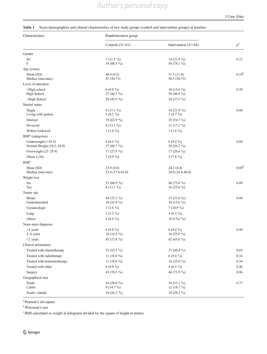# <span id="page-5-0"></span>Table 1 Socio-demographics and clinical characteristics of two study groups (control and intervention groups) at baseline

| $\boldsymbol{p}^{\mathrm{a}}$<br>Controls $(N=61)$<br>Intervention $(N=64)$<br>M<br>$7(11.5\%)$<br>14 (21.9 $\%$ )<br>0.12<br>F<br>54 (88.5 %)<br>50 (78.1 %)<br>$0.14^{b}$<br>Mean (SD)<br>48.4(9.2)<br>51.5(11.4)<br>Median (min-max)<br>$47(30-73)$<br>$50.5(30-73)$<br>Level of education<br><high school<br=""><math>6(9.8\%)</math><br/>10 (15.6 <math>\%</math>)<br/>0.50<br/>High School<br/><math>27(44.3\%)</math><br/>30<math>(46.9\%)</math><br/>&gt;High School<br/>28 (45.9 %)<br/>24 (37.5 %)<br/>Marital status<br/>Single<br/><math>8(13.1\%)</math><br/>14 (21.9 <math>\%</math>)<br/>0.60<br/><math>5(8.2\%)</math><br/>3 (4.7 %)<br/>Living with partner<br/>39 (63.9 %)<br/>Married<br/>35 (54.7 %)<br/>Divorced<br/><math>8(13.1\%)</math><br/>11<math>(17.2 \%)</math><br/>Widow/widowed<br/><math>1(1.6\%)</math><br/><math>1(1.6\%)</math><br/>BMI<sup>c</sup> (categories)<br/>0.84<br/>Underweight <math>(\leq 18.5)</math><br/><math>4(6.6\%)</math><br/><math>6(9.4\%)</math><br/>Normal Weight (18.5-24.9)<br/>37 (60.7 <math>\%</math>)<br/>36 (56.2 %)<br/>Overweight (25-29.9)<br/><math>17(27.9\%)</math><br/>17<math>(26.6\%)</math><br/>Obese <math>( \geq 30)</math><br/><math>3(4.9\%)</math><br/><math>5(7.8\%)</math><br/>0.69<sup>b</sup><br/>23.9(4.0)<br/>Mean (SD)<br/>24.2(4.4)<br/>Median (min-max)<br/>23.4 (17.6-41.0)<br/>24.0 (16.8-40.8)<br/>Weight loss<br/>No<br/>53 (86.9 %)<br/>48 (75.0 %)<br/>0.09<br/>Yes<br/><math>8(13.1\%)</math><br/>16<math>(25.0\%)</math><br/>Tumor site<br/>0.06<br/>44<math>(72.1\%)</math><br/>33 (51.6 <math>\%</math>)<br/><b>Breast</b><br/>Gastrointestinal<br/><math>10(16.4\%)</math><br/>10<math>(15.6\%)</math><br/>Gynaecologic<br/><math>1(1.6\%)</math><br/><math>7(10.9\%)</math><br/><math>2(3.3\%)</math><br/><math>4(6.3\%)</math><br/>Lung<br/>Others<br/><math>4(6.6\%)</math><br/>10<math>(15.6\%)</math><br/>Years since diagnosis<br/><math>6(9.8\%)</math><br/>0.49<br/><math>6(9.4\%)</math><br/>&gt;4 years<br/><math>2-4</math> years<br/><math>10(16.4\%)</math><br/><math>16(25.0\%)</math><br/>45 (73.8 %)<br/>42 (65.6 %)<br/><math>&lt;</math>2 years<br/>Clinical information<br/>Treated with chemotherapy<br/>0.65<br/>32 (52.5 %)<br/>31 (48.4 %)<br/>Treated with radiotherapy<br/><math>6(9.4\%)</math><br/>0.16<br/>11<math>(18.0\%)</math><br/>Treated with hormonotherapy<br/>0.34<br/>11 (18.0 <math>\%</math>)<br/>16<math>(25.0\%</math><br/>Treated with other<br/>0.46<br/><math>6(9.8\%)</math><br/>4 (6.3 <math>\%</math>)<br/>43 (70.5 %)<br/>46 (71.9 %)<br/>0.86<br/>Surgery<br/>Geographical area<br/>North<br/>36 (59.0 %)<br/>34 (53.1 <math>\%</math>)<br/>0.77<br/>Centre<br/><math>9(14.7\%)</math><br/>12<math>(18.7%)</math><br/>South+islands<br/>16<math>(26.2\%)</math><br/>18 (28.2 %)</high> | Characteristics           | Randomization group |  |  |  |
|-----------------------------------------------------------------------------------------------------------------------------------------------------------------------------------------------------------------------------------------------------------------------------------------------------------------------------------------------------------------------------------------------------------------------------------------------------------------------------------------------------------------------------------------------------------------------------------------------------------------------------------------------------------------------------------------------------------------------------------------------------------------------------------------------------------------------------------------------------------------------------------------------------------------------------------------------------------------------------------------------------------------------------------------------------------------------------------------------------------------------------------------------------------------------------------------------------------------------------------------------------------------------------------------------------------------------------------------------------------------------------------------------------------------------------------------------------------------------------------------------------------------------------------------------------------------------------------------------------------------------------------------------------------------------------------------------------------------------------------------------------------------------------------------------------------------------------------------------------------------------------------------------------------------------------------------------------------------------------------------------------------------------------------------------------------------------------------------------------------------------------------------------------------------------------------------------------------------------------------------------------------------------------------------------------------------------------------------------------------------------------------------------------------------------------------------------------------------------------------------------------------------------------------------------------------------------------------------------------------------------------------------------------------------------------------------------------------------------------------------------------------------------------------------------------------------------------------------------|---------------------------|---------------------|--|--|--|
|                                                                                                                                                                                                                                                                                                                                                                                                                                                                                                                                                                                                                                                                                                                                                                                                                                                                                                                                                                                                                                                                                                                                                                                                                                                                                                                                                                                                                                                                                                                                                                                                                                                                                                                                                                                                                                                                                                                                                                                                                                                                                                                                                                                                                                                                                                                                                                                                                                                                                                                                                                                                                                                                                                                                                                                                                                               |                           |                     |  |  |  |
|                                                                                                                                                                                                                                                                                                                                                                                                                                                                                                                                                                                                                                                                                                                                                                                                                                                                                                                                                                                                                                                                                                                                                                                                                                                                                                                                                                                                                                                                                                                                                                                                                                                                                                                                                                                                                                                                                                                                                                                                                                                                                                                                                                                                                                                                                                                                                                                                                                                                                                                                                                                                                                                                                                                                                                                                                                               | Gender                    |                     |  |  |  |
|                                                                                                                                                                                                                                                                                                                                                                                                                                                                                                                                                                                                                                                                                                                                                                                                                                                                                                                                                                                                                                                                                                                                                                                                                                                                                                                                                                                                                                                                                                                                                                                                                                                                                                                                                                                                                                                                                                                                                                                                                                                                                                                                                                                                                                                                                                                                                                                                                                                                                                                                                                                                                                                                                                                                                                                                                                               |                           |                     |  |  |  |
|                                                                                                                                                                                                                                                                                                                                                                                                                                                                                                                                                                                                                                                                                                                                                                                                                                                                                                                                                                                                                                                                                                                                                                                                                                                                                                                                                                                                                                                                                                                                                                                                                                                                                                                                                                                                                                                                                                                                                                                                                                                                                                                                                                                                                                                                                                                                                                                                                                                                                                                                                                                                                                                                                                                                                                                                                                               |                           |                     |  |  |  |
|                                                                                                                                                                                                                                                                                                                                                                                                                                                                                                                                                                                                                                                                                                                                                                                                                                                                                                                                                                                                                                                                                                                                                                                                                                                                                                                                                                                                                                                                                                                                                                                                                                                                                                                                                                                                                                                                                                                                                                                                                                                                                                                                                                                                                                                                                                                                                                                                                                                                                                                                                                                                                                                                                                                                                                                                                                               | Age (years),              |                     |  |  |  |
|                                                                                                                                                                                                                                                                                                                                                                                                                                                                                                                                                                                                                                                                                                                                                                                                                                                                                                                                                                                                                                                                                                                                                                                                                                                                                                                                                                                                                                                                                                                                                                                                                                                                                                                                                                                                                                                                                                                                                                                                                                                                                                                                                                                                                                                                                                                                                                                                                                                                                                                                                                                                                                                                                                                                                                                                                                               |                           |                     |  |  |  |
|                                                                                                                                                                                                                                                                                                                                                                                                                                                                                                                                                                                                                                                                                                                                                                                                                                                                                                                                                                                                                                                                                                                                                                                                                                                                                                                                                                                                                                                                                                                                                                                                                                                                                                                                                                                                                                                                                                                                                                                                                                                                                                                                                                                                                                                                                                                                                                                                                                                                                                                                                                                                                                                                                                                                                                                                                                               |                           |                     |  |  |  |
|                                                                                                                                                                                                                                                                                                                                                                                                                                                                                                                                                                                                                                                                                                                                                                                                                                                                                                                                                                                                                                                                                                                                                                                                                                                                                                                                                                                                                                                                                                                                                                                                                                                                                                                                                                                                                                                                                                                                                                                                                                                                                                                                                                                                                                                                                                                                                                                                                                                                                                                                                                                                                                                                                                                                                                                                                                               |                           |                     |  |  |  |
|                                                                                                                                                                                                                                                                                                                                                                                                                                                                                                                                                                                                                                                                                                                                                                                                                                                                                                                                                                                                                                                                                                                                                                                                                                                                                                                                                                                                                                                                                                                                                                                                                                                                                                                                                                                                                                                                                                                                                                                                                                                                                                                                                                                                                                                                                                                                                                                                                                                                                                                                                                                                                                                                                                                                                                                                                                               |                           |                     |  |  |  |
|                                                                                                                                                                                                                                                                                                                                                                                                                                                                                                                                                                                                                                                                                                                                                                                                                                                                                                                                                                                                                                                                                                                                                                                                                                                                                                                                                                                                                                                                                                                                                                                                                                                                                                                                                                                                                                                                                                                                                                                                                                                                                                                                                                                                                                                                                                                                                                                                                                                                                                                                                                                                                                                                                                                                                                                                                                               |                           |                     |  |  |  |
|                                                                                                                                                                                                                                                                                                                                                                                                                                                                                                                                                                                                                                                                                                                                                                                                                                                                                                                                                                                                                                                                                                                                                                                                                                                                                                                                                                                                                                                                                                                                                                                                                                                                                                                                                                                                                                                                                                                                                                                                                                                                                                                                                                                                                                                                                                                                                                                                                                                                                                                                                                                                                                                                                                                                                                                                                                               |                           |                     |  |  |  |
|                                                                                                                                                                                                                                                                                                                                                                                                                                                                                                                                                                                                                                                                                                                                                                                                                                                                                                                                                                                                                                                                                                                                                                                                                                                                                                                                                                                                                                                                                                                                                                                                                                                                                                                                                                                                                                                                                                                                                                                                                                                                                                                                                                                                                                                                                                                                                                                                                                                                                                                                                                                                                                                                                                                                                                                                                                               |                           |                     |  |  |  |
|                                                                                                                                                                                                                                                                                                                                                                                                                                                                                                                                                                                                                                                                                                                                                                                                                                                                                                                                                                                                                                                                                                                                                                                                                                                                                                                                                                                                                                                                                                                                                                                                                                                                                                                                                                                                                                                                                                                                                                                                                                                                                                                                                                                                                                                                                                                                                                                                                                                                                                                                                                                                                                                                                                                                                                                                                                               |                           |                     |  |  |  |
|                                                                                                                                                                                                                                                                                                                                                                                                                                                                                                                                                                                                                                                                                                                                                                                                                                                                                                                                                                                                                                                                                                                                                                                                                                                                                                                                                                                                                                                                                                                                                                                                                                                                                                                                                                                                                                                                                                                                                                                                                                                                                                                                                                                                                                                                                                                                                                                                                                                                                                                                                                                                                                                                                                                                                                                                                                               |                           |                     |  |  |  |
|                                                                                                                                                                                                                                                                                                                                                                                                                                                                                                                                                                                                                                                                                                                                                                                                                                                                                                                                                                                                                                                                                                                                                                                                                                                                                                                                                                                                                                                                                                                                                                                                                                                                                                                                                                                                                                                                                                                                                                                                                                                                                                                                                                                                                                                                                                                                                                                                                                                                                                                                                                                                                                                                                                                                                                                                                                               |                           |                     |  |  |  |
|                                                                                                                                                                                                                                                                                                                                                                                                                                                                                                                                                                                                                                                                                                                                                                                                                                                                                                                                                                                                                                                                                                                                                                                                                                                                                                                                                                                                                                                                                                                                                                                                                                                                                                                                                                                                                                                                                                                                                                                                                                                                                                                                                                                                                                                                                                                                                                                                                                                                                                                                                                                                                                                                                                                                                                                                                                               |                           |                     |  |  |  |
|                                                                                                                                                                                                                                                                                                                                                                                                                                                                                                                                                                                                                                                                                                                                                                                                                                                                                                                                                                                                                                                                                                                                                                                                                                                                                                                                                                                                                                                                                                                                                                                                                                                                                                                                                                                                                                                                                                                                                                                                                                                                                                                                                                                                                                                                                                                                                                                                                                                                                                                                                                                                                                                                                                                                                                                                                                               |                           |                     |  |  |  |
|                                                                                                                                                                                                                                                                                                                                                                                                                                                                                                                                                                                                                                                                                                                                                                                                                                                                                                                                                                                                                                                                                                                                                                                                                                                                                                                                                                                                                                                                                                                                                                                                                                                                                                                                                                                                                                                                                                                                                                                                                                                                                                                                                                                                                                                                                                                                                                                                                                                                                                                                                                                                                                                                                                                                                                                                                                               |                           |                     |  |  |  |
|                                                                                                                                                                                                                                                                                                                                                                                                                                                                                                                                                                                                                                                                                                                                                                                                                                                                                                                                                                                                                                                                                                                                                                                                                                                                                                                                                                                                                                                                                                                                                                                                                                                                                                                                                                                                                                                                                                                                                                                                                                                                                                                                                                                                                                                                                                                                                                                                                                                                                                                                                                                                                                                                                                                                                                                                                                               |                           |                     |  |  |  |
|                                                                                                                                                                                                                                                                                                                                                                                                                                                                                                                                                                                                                                                                                                                                                                                                                                                                                                                                                                                                                                                                                                                                                                                                                                                                                                                                                                                                                                                                                                                                                                                                                                                                                                                                                                                                                                                                                                                                                                                                                                                                                                                                                                                                                                                                                                                                                                                                                                                                                                                                                                                                                                                                                                                                                                                                                                               |                           |                     |  |  |  |
|                                                                                                                                                                                                                                                                                                                                                                                                                                                                                                                                                                                                                                                                                                                                                                                                                                                                                                                                                                                                                                                                                                                                                                                                                                                                                                                                                                                                                                                                                                                                                                                                                                                                                                                                                                                                                                                                                                                                                                                                                                                                                                                                                                                                                                                                                                                                                                                                                                                                                                                                                                                                                                                                                                                                                                                                                                               |                           |                     |  |  |  |
|                                                                                                                                                                                                                                                                                                                                                                                                                                                                                                                                                                                                                                                                                                                                                                                                                                                                                                                                                                                                                                                                                                                                                                                                                                                                                                                                                                                                                                                                                                                                                                                                                                                                                                                                                                                                                                                                                                                                                                                                                                                                                                                                                                                                                                                                                                                                                                                                                                                                                                                                                                                                                                                                                                                                                                                                                                               | $\mathrm{BMI}^\mathrm{c}$ |                     |  |  |  |
|                                                                                                                                                                                                                                                                                                                                                                                                                                                                                                                                                                                                                                                                                                                                                                                                                                                                                                                                                                                                                                                                                                                                                                                                                                                                                                                                                                                                                                                                                                                                                                                                                                                                                                                                                                                                                                                                                                                                                                                                                                                                                                                                                                                                                                                                                                                                                                                                                                                                                                                                                                                                                                                                                                                                                                                                                                               |                           |                     |  |  |  |
|                                                                                                                                                                                                                                                                                                                                                                                                                                                                                                                                                                                                                                                                                                                                                                                                                                                                                                                                                                                                                                                                                                                                                                                                                                                                                                                                                                                                                                                                                                                                                                                                                                                                                                                                                                                                                                                                                                                                                                                                                                                                                                                                                                                                                                                                                                                                                                                                                                                                                                                                                                                                                                                                                                                                                                                                                                               |                           |                     |  |  |  |
|                                                                                                                                                                                                                                                                                                                                                                                                                                                                                                                                                                                                                                                                                                                                                                                                                                                                                                                                                                                                                                                                                                                                                                                                                                                                                                                                                                                                                                                                                                                                                                                                                                                                                                                                                                                                                                                                                                                                                                                                                                                                                                                                                                                                                                                                                                                                                                                                                                                                                                                                                                                                                                                                                                                                                                                                                                               |                           |                     |  |  |  |
|                                                                                                                                                                                                                                                                                                                                                                                                                                                                                                                                                                                                                                                                                                                                                                                                                                                                                                                                                                                                                                                                                                                                                                                                                                                                                                                                                                                                                                                                                                                                                                                                                                                                                                                                                                                                                                                                                                                                                                                                                                                                                                                                                                                                                                                                                                                                                                                                                                                                                                                                                                                                                                                                                                                                                                                                                                               |                           |                     |  |  |  |
|                                                                                                                                                                                                                                                                                                                                                                                                                                                                                                                                                                                                                                                                                                                                                                                                                                                                                                                                                                                                                                                                                                                                                                                                                                                                                                                                                                                                                                                                                                                                                                                                                                                                                                                                                                                                                                                                                                                                                                                                                                                                                                                                                                                                                                                                                                                                                                                                                                                                                                                                                                                                                                                                                                                                                                                                                                               |                           |                     |  |  |  |
|                                                                                                                                                                                                                                                                                                                                                                                                                                                                                                                                                                                                                                                                                                                                                                                                                                                                                                                                                                                                                                                                                                                                                                                                                                                                                                                                                                                                                                                                                                                                                                                                                                                                                                                                                                                                                                                                                                                                                                                                                                                                                                                                                                                                                                                                                                                                                                                                                                                                                                                                                                                                                                                                                                                                                                                                                                               |                           |                     |  |  |  |
|                                                                                                                                                                                                                                                                                                                                                                                                                                                                                                                                                                                                                                                                                                                                                                                                                                                                                                                                                                                                                                                                                                                                                                                                                                                                                                                                                                                                                                                                                                                                                                                                                                                                                                                                                                                                                                                                                                                                                                                                                                                                                                                                                                                                                                                                                                                                                                                                                                                                                                                                                                                                                                                                                                                                                                                                                                               |                           |                     |  |  |  |
|                                                                                                                                                                                                                                                                                                                                                                                                                                                                                                                                                                                                                                                                                                                                                                                                                                                                                                                                                                                                                                                                                                                                                                                                                                                                                                                                                                                                                                                                                                                                                                                                                                                                                                                                                                                                                                                                                                                                                                                                                                                                                                                                                                                                                                                                                                                                                                                                                                                                                                                                                                                                                                                                                                                                                                                                                                               |                           |                     |  |  |  |
|                                                                                                                                                                                                                                                                                                                                                                                                                                                                                                                                                                                                                                                                                                                                                                                                                                                                                                                                                                                                                                                                                                                                                                                                                                                                                                                                                                                                                                                                                                                                                                                                                                                                                                                                                                                                                                                                                                                                                                                                                                                                                                                                                                                                                                                                                                                                                                                                                                                                                                                                                                                                                                                                                                                                                                                                                                               |                           |                     |  |  |  |
|                                                                                                                                                                                                                                                                                                                                                                                                                                                                                                                                                                                                                                                                                                                                                                                                                                                                                                                                                                                                                                                                                                                                                                                                                                                                                                                                                                                                                                                                                                                                                                                                                                                                                                                                                                                                                                                                                                                                                                                                                                                                                                                                                                                                                                                                                                                                                                                                                                                                                                                                                                                                                                                                                                                                                                                                                                               |                           |                     |  |  |  |
|                                                                                                                                                                                                                                                                                                                                                                                                                                                                                                                                                                                                                                                                                                                                                                                                                                                                                                                                                                                                                                                                                                                                                                                                                                                                                                                                                                                                                                                                                                                                                                                                                                                                                                                                                                                                                                                                                                                                                                                                                                                                                                                                                                                                                                                                                                                                                                                                                                                                                                                                                                                                                                                                                                                                                                                                                                               |                           |                     |  |  |  |
|                                                                                                                                                                                                                                                                                                                                                                                                                                                                                                                                                                                                                                                                                                                                                                                                                                                                                                                                                                                                                                                                                                                                                                                                                                                                                                                                                                                                                                                                                                                                                                                                                                                                                                                                                                                                                                                                                                                                                                                                                                                                                                                                                                                                                                                                                                                                                                                                                                                                                                                                                                                                                                                                                                                                                                                                                                               |                           |                     |  |  |  |
|                                                                                                                                                                                                                                                                                                                                                                                                                                                                                                                                                                                                                                                                                                                                                                                                                                                                                                                                                                                                                                                                                                                                                                                                                                                                                                                                                                                                                                                                                                                                                                                                                                                                                                                                                                                                                                                                                                                                                                                                                                                                                                                                                                                                                                                                                                                                                                                                                                                                                                                                                                                                                                                                                                                                                                                                                                               |                           |                     |  |  |  |
|                                                                                                                                                                                                                                                                                                                                                                                                                                                                                                                                                                                                                                                                                                                                                                                                                                                                                                                                                                                                                                                                                                                                                                                                                                                                                                                                                                                                                                                                                                                                                                                                                                                                                                                                                                                                                                                                                                                                                                                                                                                                                                                                                                                                                                                                                                                                                                                                                                                                                                                                                                                                                                                                                                                                                                                                                                               |                           |                     |  |  |  |
|                                                                                                                                                                                                                                                                                                                                                                                                                                                                                                                                                                                                                                                                                                                                                                                                                                                                                                                                                                                                                                                                                                                                                                                                                                                                                                                                                                                                                                                                                                                                                                                                                                                                                                                                                                                                                                                                                                                                                                                                                                                                                                                                                                                                                                                                                                                                                                                                                                                                                                                                                                                                                                                                                                                                                                                                                                               |                           |                     |  |  |  |
|                                                                                                                                                                                                                                                                                                                                                                                                                                                                                                                                                                                                                                                                                                                                                                                                                                                                                                                                                                                                                                                                                                                                                                                                                                                                                                                                                                                                                                                                                                                                                                                                                                                                                                                                                                                                                                                                                                                                                                                                                                                                                                                                                                                                                                                                                                                                                                                                                                                                                                                                                                                                                                                                                                                                                                                                                                               |                           |                     |  |  |  |
|                                                                                                                                                                                                                                                                                                                                                                                                                                                                                                                                                                                                                                                                                                                                                                                                                                                                                                                                                                                                                                                                                                                                                                                                                                                                                                                                                                                                                                                                                                                                                                                                                                                                                                                                                                                                                                                                                                                                                                                                                                                                                                                                                                                                                                                                                                                                                                                                                                                                                                                                                                                                                                                                                                                                                                                                                                               |                           |                     |  |  |  |
|                                                                                                                                                                                                                                                                                                                                                                                                                                                                                                                                                                                                                                                                                                                                                                                                                                                                                                                                                                                                                                                                                                                                                                                                                                                                                                                                                                                                                                                                                                                                                                                                                                                                                                                                                                                                                                                                                                                                                                                                                                                                                                                                                                                                                                                                                                                                                                                                                                                                                                                                                                                                                                                                                                                                                                                                                                               |                           |                     |  |  |  |
|                                                                                                                                                                                                                                                                                                                                                                                                                                                                                                                                                                                                                                                                                                                                                                                                                                                                                                                                                                                                                                                                                                                                                                                                                                                                                                                                                                                                                                                                                                                                                                                                                                                                                                                                                                                                                                                                                                                                                                                                                                                                                                                                                                                                                                                                                                                                                                                                                                                                                                                                                                                                                                                                                                                                                                                                                                               |                           |                     |  |  |  |
|                                                                                                                                                                                                                                                                                                                                                                                                                                                                                                                                                                                                                                                                                                                                                                                                                                                                                                                                                                                                                                                                                                                                                                                                                                                                                                                                                                                                                                                                                                                                                                                                                                                                                                                                                                                                                                                                                                                                                                                                                                                                                                                                                                                                                                                                                                                                                                                                                                                                                                                                                                                                                                                                                                                                                                                                                                               |                           |                     |  |  |  |
|                                                                                                                                                                                                                                                                                                                                                                                                                                                                                                                                                                                                                                                                                                                                                                                                                                                                                                                                                                                                                                                                                                                                                                                                                                                                                                                                                                                                                                                                                                                                                                                                                                                                                                                                                                                                                                                                                                                                                                                                                                                                                                                                                                                                                                                                                                                                                                                                                                                                                                                                                                                                                                                                                                                                                                                                                                               |                           |                     |  |  |  |
|                                                                                                                                                                                                                                                                                                                                                                                                                                                                                                                                                                                                                                                                                                                                                                                                                                                                                                                                                                                                                                                                                                                                                                                                                                                                                                                                                                                                                                                                                                                                                                                                                                                                                                                                                                                                                                                                                                                                                                                                                                                                                                                                                                                                                                                                                                                                                                                                                                                                                                                                                                                                                                                                                                                                                                                                                                               |                           |                     |  |  |  |
|                                                                                                                                                                                                                                                                                                                                                                                                                                                                                                                                                                                                                                                                                                                                                                                                                                                                                                                                                                                                                                                                                                                                                                                                                                                                                                                                                                                                                                                                                                                                                                                                                                                                                                                                                                                                                                                                                                                                                                                                                                                                                                                                                                                                                                                                                                                                                                                                                                                                                                                                                                                                                                                                                                                                                                                                                                               |                           |                     |  |  |  |
|                                                                                                                                                                                                                                                                                                                                                                                                                                                                                                                                                                                                                                                                                                                                                                                                                                                                                                                                                                                                                                                                                                                                                                                                                                                                                                                                                                                                                                                                                                                                                                                                                                                                                                                                                                                                                                                                                                                                                                                                                                                                                                                                                                                                                                                                                                                                                                                                                                                                                                                                                                                                                                                                                                                                                                                                                                               |                           |                     |  |  |  |

a Pearson's chi-square

<sup>b</sup> Wilcoxon's test

c BMI calculated as weight in kilograms divided by the square of height in metres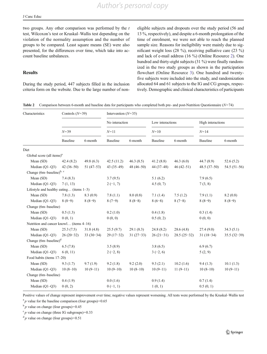<span id="page-6-0"></span>two groups. Any other comparison was performed by the  $t$ test, Wilcoxon's test or Kruskal–Wallis test depending on the violation of the normality assumption and the number of groups to be compared. Least square means (SE) were also presented, for the differences over time, which take into account baseline unbalances.

# Results

During the study period, 447 subjects filled in the inclusion criteria form on the website. Due to the large number of noneligible subjects and dropouts over the study period (56 and 13 %, respectively), and despite a 6-month prolongation of the time of enrolment, we were not able to reach the planned sample size. Reasons for ineligibility were mainly due to significant weight loss (28 %), receiving palliative care (23 %) and lack of e-mail address (16 %) (Online Resource 2). One hundred and thirty-eight subjects (31 %) were finally randomized in the two study groups as shown in the participation flowchart (Online Resource 3). One hundred and twentyfive subjects were included into the study, and randomization allocated 64 and 61 subjects to the IG and CG groups, respectively. Demographic and clinical characteristics of participants

|  |  | Table 2 Comparison between 6-month and baseline data for participants who completed both pre- and post-Nutrition Questionnaire $(N=74)$ |  |  |  |  |
|--|--|-----------------------------------------------------------------------------------------------------------------------------------------|--|--|--|--|
|--|--|-----------------------------------------------------------------------------------------------------------------------------------------|--|--|--|--|

| Characteristics                             | Controls $(N=39)$ |              | Intervention $(N=35)$ |             |                  |               |                   |               |  |
|---------------------------------------------|-------------------|--------------|-----------------------|-------------|------------------|---------------|-------------------|---------------|--|
|                                             |                   |              | No interaction        |             | Low interactions |               | High interactions |               |  |
|                                             | $N = 39$          |              | $N = 11$              |             | $N = 10$         |               | $N = 14$          |               |  |
|                                             | <b>Baseline</b>   | 6-month      | <b>Baseline</b>       | 6-month     | <b>Baseline</b>  | 6-month       | <b>Baseline</b>   | 6-month       |  |
| Diet                                        |                   |              |                       |             |                  |               |                   |               |  |
| Global score (all items) $a$                |                   |              |                       |             |                  |               |                   |               |  |
| Mean (SD)                                   | 42.4(8.2)         | 49.8 $(6.3)$ | 42.5(11.2)            | 46.3(8.5)   | 41.2(8.8)        | 46.3(6.0)     | 44.7(8.9)         | 52.6(5.2)     |  |
| Median (Q1-Q3)                              | $42(36-50)$       | $51(47-53)$  | 43 (35-49)            | $48(46-50)$ | $44(37-48)$      | $46(42 - 51)$ | $48.5(37-50)$     | $54.5(51-56)$ |  |
| Change (6m-baseline) <sup>b, c</sup>        |                   |              |                       |             |                  |               |                   |               |  |
| Mean (SD)                                   | 7.4(8.3)          |              | 3.7(9.5)              |             | 5.1(6.2)         |               | 7.9(6.5)          |               |  |
| Median $(Q1-Q3)$                            | 7(1, 13)          |              | $2(-1, 7)$            |             | 4.5(0, 7)        |               | 7(3, 8)           |               |  |
| Lifestyle and healthy eating (items $1-3$ ) |                   |              |                       |             |                  |               |                   |               |  |
| Mean (SD)                                   | 7.8(1.3)          | 8.3(0.9)     | 7.8(1.1)              | 8.0(0.8)    | 7.1(1.4)         | 7.5(1.2)      | 7.9(1.1)          | 8.2(0.8)      |  |
| Median (Q1-Q3)                              | $8(8-9)$          | $8(8-9)$     | $8(7-9)$              | $8(8-8)$    | $8(6-8)$         | $8(7-8)$      | $8(8-9)$          | $8(8-9)$      |  |
| Change (6m-baseline)                        |                   |              |                       |             |                  |               |                   |               |  |
| Mean (SD)                                   | 0.5(1.3)          |              | 0.2(1.0)              |             | 0.4(1.8)         |               | 0.3(1.4)          |               |  |
| Median $(Q1-Q3)$                            | 0(0, 1)           |              | 0(0, 0)               |             | 0.5(0, 2)        |               | 0(0, 0)           |               |  |
| Nutrition and cancer knowl (items 4-16)     |                   |              |                       |             |                  |               |                   |               |  |
| Mean (SD)                                   | 25.3(7.5)         | 31.8(4.8)    | 25.5(9.7)             | 29.1(8.3)   | 24.8(8.2)        | 28.6(4.8)     | 27.4(9.0)         | 34.3(5.1)     |  |
| Median (Q1-Q3)                              | $26(20-32)$       | $33(30-34)$  | $29(17-32)$           | $31(27-33)$ | $26(21-31)$      | $28.5(25-32)$ | $31(18-34)$       | $35.5(32-39)$ |  |
| Change $(6m$ -baseline) <sup>d</sup>        |                   |              |                       |             |                  |               |                   |               |  |
| Mean (SD)                                   | 6.5(7.8)          |              | 3.5(8.9)              |             | 3.8(6.5)         |               | 6.9(6.7)          |               |  |
| Median $(Q1-Q3)$                            | 6(0, 11)          |              | $2(-2, 8)$            |             | $3(-2, 6)$       |               | 5(2, 9)           |               |  |
| Food habits (items 17-20)                   |                   |              |                       |             |                  |               |                   |               |  |
| Mean (SD)                                   | 9.3(1.7)          | 9.7(1.9)     | 9.2(1.8)              | 9.2(2.0)    | 9.3(2.1)         | 10.2(1.6)     | 9.4(1.3)          | 10.1(1.3)     |  |
| Median $(Q1-Q3)$                            | $10(8-10)$        | $10(9-11)$   | $10(9-10)$            | $10(8-10)$  | $10(9-11)$       | $11(9-11)$    | $10(8-10)$        | $10(9-11)$    |  |
| Change (6m-baseline)                        |                   |              |                       |             |                  |               |                   |               |  |
| Mean (SD)                                   | 0.4(1.9)          |              | 0.0(1.6)              |             | 0.9(1.4)         |               | 0.7(1.4)          |               |  |
| Median (Q1-Q3)                              | 0(0, 2)           |              | $0(-1, 1)$            |             | 1(0, 1)          |               | 0.5(0, 1)         |               |  |

Positive values of change represent improvement over time; negative values represent worsening. All tests were performed by the Kruskal–Wallis test  $a_p$  value for the baseline comparison (four groups)=0.65

 $b$  *p* value on change (four groups)=0.45

 $c_p$  value on change (three IG subgroups)=0.33

 $d_p$  value on change (four groups)=0.51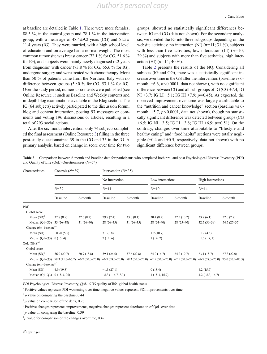<span id="page-7-0"></span>at baseline are detailed in Table [1](#page-5-0). There were more females, 88.5 %, in the control group and 78.1 % in the intervention group, with a mean age of  $48.4 \pm 9.2$  years (CG) and  $51.5 \pm$ 11.4 years (IG). They were married, with a high school level of education and on average had a normal weight. The most common tumor site was breast cancer (72.1 % for CG, 51.6 % for IG), and subjects were mainly newly diagnosed  $\ll$  years from diagnosis) with cancer (73.8 % for CG, 65.6 % for IG), undergone surgery and were treated with chemotherapy. More than 50 % of patients came from the Northern Italy with no difference between groups (59.0 % for CG, 53.1 % for IG). Over the study period, numerous contents were published (see Online Resource 1) such as Baseline and Weekly contents and in-depth blog examinations available in the Blog section. The IG (64 subjects) actively participated to the discussion forum, blog and content interaction, posting 97 messages or comments and voting 196 discussions or articles, resulting in a total of 293 social actions.

After the six-month intervention, only 74 subjects completed the final assessment (Online Resource 3) filling in the three post-study questionnaires: 39 in the CG and 35 in the IG. A primary analysis, based on change in score over time for two groups, showed no statistically significant differences between IG and CG (data not shown). For the secondary analysis, we divided the IG into three subgroups depending on the website activities: no interaction (NI)  $(n=11; 31 \%)$ , subjects with less than five activities, low interaction (LI)  $(n=10;$ 29 %) and subjects with more than five activities, high interaction (HI)  $(n=14; 40\%)$ .

Table [2](#page-6-0) presents the results of the NQ. Considering all subjects (IG and CG), there was a statistically significant increase over time in the GS after the intervention (baseline vs 6 month;  $+6.6$ ,  $p<0.0001$ , data not shown), with no significant difference between CG and all sub-groups of IG (CG +7.4; IG NI +3.7; IG LI +5.1; IG HI +7.9;  $p=0.45$ ). As expected, the observed improvement over time was largely attributable to the "nutrition and cancer knowledge" section (baseline vs 6month;  $+5.7$ ,  $p<0.0001$ , data not shown), though no statistically significant difference was detected between groups (CG +6.5; IG NI +3.5; IG LI +3.8; IG HI +6.9;  $p=0.51$ ). On the contrary, changes over time attributable to "lifestyle and healthy eating" and "food habits" sections were totally negligible (+0.4 and +0.5, respectively, data not shown) with no significant difference between groups.

Table 3 Comparison between 6-month and baseline data for participants who completed both pre- and post-Psychological Distress Inventory (PDI) and Quality of Life (QoL) Questionnaires  $(N=74)$ 

| Characteristics                      | Controls $(N=39)$                                                                                                                                      |             | Intervention $(N=35)$              |             |                 |                   |                    |               |  |
|--------------------------------------|--------------------------------------------------------------------------------------------------------------------------------------------------------|-------------|------------------------------------|-------------|-----------------|-------------------|--------------------|---------------|--|
|                                      |                                                                                                                                                        |             | No interaction<br>Low interactions |             |                 | High interactions |                    |               |  |
|                                      | $N = 39$                                                                                                                                               |             | $N = 11$                           |             | $N = 10$        |                   | $N = 14$           |               |  |
|                                      | <b>Baseline</b>                                                                                                                                        | 6-month     | Baseline                           | 6-month     | <b>Baseline</b> | 6-month           | <b>Baseline</b>    | 6-month       |  |
| PDI <sup>a</sup>                     |                                                                                                                                                        |             |                                    |             |                 |                   |                    |               |  |
| Global score                         |                                                                                                                                                        |             |                                    |             |                 |                   |                    |               |  |
| Mean $(SD)^b$                        | 32.8(8.9)                                                                                                                                              | 32.6(8.2)   | 29.7(7.4)                          | 33.0(8.1)   | 30.4(8.2)       | 32.3(10.7)        | 33.7(6.1)          | 32.0(7.7)     |  |
| Median $(Q1-Q3)$ 33 $(26-38)$        |                                                                                                                                                        | $31(26-40)$ | $28(26-35)$                        | $31(26-35)$ | $28(24-40)$     | $28(25-40)$       | $32.5(30-39)$      | $54.5(27-37)$ |  |
| Change $(6m$ -baseline) <sup>c</sup> |                                                                                                                                                        |             |                                    |             |                 |                   |                    |               |  |
| Mean (SD)                            | $-0.20(5.5)$                                                                                                                                           |             | 3.3(6.8)                           |             | 1.9(10.7)       |                   | $-1.7(4.8)$        |               |  |
| Median (Q1-Q3) $0(-5, 4)$            |                                                                                                                                                        |             | $2(-1, 6)$                         |             | $1(-4, 7)$      |                   | $-1.5(-5, 1)$      |               |  |
| $QoL$ $(GHS)d$                       |                                                                                                                                                        |             |                                    |             |                 |                   |                    |               |  |
| Global score                         |                                                                                                                                                        |             |                                    |             |                 |                   |                    |               |  |
| Mean $(SD)^e$                        | 56.0(20.7)                                                                                                                                             | 60.9(18.8)  | 59.1(26.5)                         | 57.6(22.8)  | 64.2(16.7)      | 64.2(19.7)        | 63.1(18.7)         | 67.3(22.0)    |  |
|                                      | Median (Q1-Q3) 58.3 (41.7-66.7) 66.7 (50.0-75.0) 66.7 (58.3-75.0) 58.3 (50.3-75.0) 62.5 (50.0-75.0) 62.5 (50.0-75.0) 66.7 (58.3-75.0) 75.0 (50.0-83.3) |             |                                    |             |                 |                   |                    |               |  |
| Change $(6m–baseline)^f$             |                                                                                                                                                        |             |                                    |             |                 |                   |                    |               |  |
| Mean (SD)                            | 4.9(19.8)                                                                                                                                              |             | $-1.5(27.1)$                       |             | 0(18.4)         |                   | 4.2(15.9)          |               |  |
| Median (Q1-Q3) $0$ (-8.3, 25)        |                                                                                                                                                        |             | $-8.3(-16.7, 8.3)$                 |             | $1(-8.3, 16.7)$ |                   | $4.2 (-8.3, 16.7)$ |               |  |

PDI Psychological Distress Inventory, QoL-GHS quality of life-global health status

<sup>a</sup> Positive values represent PDI worsening over time; negative values represent PDI improvements over time

 $b$  p value on comparing the baseline, 0.44

 $c_p$  value on comparison of the delta, 0.28

<sup>d</sup> Positive changes represents improvements, negative changes represent deterioration of QoL over time

 $e^e$  *p* value on comparing the baseline, 0.39

 $f_p$  value for comparison of the changes over time, 0.42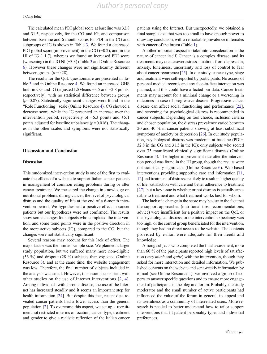The calculated mean PDI global score at baseline was 32.8 and 31.5, respectively, for the CG and IG, and comparison between baseline and 6-month scores for PDI in the CG and subgroups of IG is shown in Table [3](#page-7-0). We found a decreased PDI global score (improvement) in the CG (−0.2), and in the HI of IG  $(-1.7)$ , whereas we found an increased PDI score (worsening) in the IG NI (+3.3) (Table [3](#page-7-0) and Online Resource 6). However these changes were not significantly different between groups  $(p=0.28)$ .

The results for the QoL questionnaire are presented in Table [3](#page-7-0) and in Online Resource 4. We found an increased GHS both in CG and IG (adjusted LSMeans +3.5 and +2.8 points, respectively), with no statistical difference between groups  $(p=0.87)$ . Statistically significant changes were found in the "Role Functioning" scale (Online Resource 4). CG showed a decrease score, while the IG presented an increase over the intervention period, respectively of −6.3 points and +5.1 points adjusted for baseline unbalance  $(p=0.016)$ . The changes in the other scales and symptoms were not statistically significant.

# Discussion and Conclusion

#### Discussion

This randomized intervention study is one of the first to evaluate the effects of a website to support Italian cancer patients in management of common eating problems during or after cancer treatment. We measured the change in knowledge on nutritional problems during cancer, the level of psychological distress and the quality of life at the end of a 6-month intervention period. We hypothesized a positive effect in cancer patients but our hypotheses were not confirmed. The results show some changes for subjects who completed the intervention, and some trend points were in the positive direction in the more active subjects (IG), compared to the CG, but the changes were not statistically significant.

Several reasons may account for this lack of effect. The major factor was the limited sample size. We planned a larger study population, but we suffered many more non-eligible (56 %) and dropout (28 %) subjects than expected (Online Resource 3), and at the same time, the website engagement was low. Therefore, the final number of subjects included in the analysis was small. However, this issue is consistent with other studies on the use of Internet interventions [\[2,](#page-10-0) [4](#page-10-0)]. Among individuals with chronic disease, the use of the Internet has increased steadily and it seems an important step for health information [[24](#page-10-0)]. But despite this fact, recent data revealed cancer patients had a lower access than the general population [[2\]](#page-10-0). To overcome this aspect, we set up a recruitment not restricted in terms of location, cancer type, treatment and gender to give a realistic reflection of the Italian cancer patients using the Internet. But unexpectedly, we obtained a final sample size that was too small to have enough power to draw any conclusion, with a remarkable prevalence of females with cancer of the breast (Table [1\)](#page-5-0).

Another important aspect to take into consideration is the nature of cancer itself. Cancer is a complex disease, and its treatments may create severe stress situations from depression, anxiety, loneliness, uncertainty and loss of control to fear about cancer recurrence [[25](#page-10-0)]. In our study, cancer type, stage and treatment were self-reported by participants. No access of personal medical records and any face-to-face interaction was planned, and this could have affected our data. Cancer treatments may account for a minimal change or a worsening in outcomes in case of progressive disease. Progressive cancer disease can affect social functioning and performance [[22\]](#page-10-0), and screening for psychological distress is recommended in cancer subjects. Depending on tool choice, inclusion criteria and chosen population, the distress prevalence varied between 20 and 40 % in cancer patients showing at least subclinical symptoms of anxiety or depression [\[26\]](#page-10-0). In our study population, psychological distress was moderate at baseline (PDI= 32.8 in the CG and 31.5 in the IG); only subjects who scored over 35 manifested clinically significant distress (Online Resource 5). The higher improvement rate after the intervention period was found in the HI group, though the results were not statistically significant (Online Resource 6). Web-based interventions providing supportive care and information [\[11,](#page-10-0) [12\]](#page-10-0) and treatment of distress are likely to result in higher quality of life, satisfaction with care and better adherence to treatment [\[27\]](#page-10-0), but a key issue is whether or not distress is actually amenable to treatment and what treatment works best for whom.

The lack of a change in the score may be due to the fact that the support approaches (nutritional tips, recommendations, advice) were insufficient for a positive impact on the QoL or the psychological distress, or the intervention expectancy was too high, or the control group beneficiated for the intervention, though they had no direct access to the website. The contents provided by e-mail were adequate for their needs and knowledge.

Among subjects who completed the final assessment, more than 60 % of the participants reported high levels of satisfaction (very much and quite) with the intervention, though they asked for more interaction and detailed information. We published contents on the website and sent weekly information by e-mail (see Online Resource 1); we involved a group of experts to answer specific questions and to ensure more engagement of participants in the blog and forum. Probably, the study moderator and the small number of active participants had influenced the value of the forum in general, its appeal and its usefulness as a community of interrelated users. More research is needed to better understand how to tailor support interventions that fit patient personality types and individual preferences.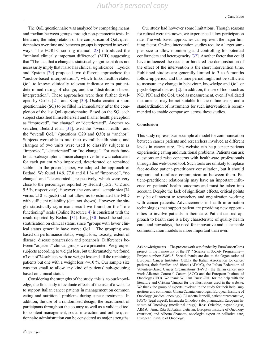The QoL questionnaire was analyzed by comparing means and median between groups through non-parametric tests. In literature, the interpretation of the comparison of QoL questionnaires over time and between groups is reported in several ways. The EORTC scoring manual [[28](#page-10-0)] introduced the "minimal clinically important difference" (MID) suggesting that "The fact that a change is statistically significant does not necessarily imply that it also has clinical significance^. Lydick and Epstein [\[29\]](#page-10-0) proposed two different approaches: the "anchor-based interpretation", which links health-related QoL to known clinically relevant indicator or to patientdetermined rating of change, and the "distribution-based interpretation". These approaches were then further developed by Osoba [[21\]](#page-10-0) and King [\[30](#page-10-0)]. Osoba created a short questionnaire (SQ) to be filled in immediately after the completion of the last QoL questionnaire. Based on the SQ, each subject classified himself/herself and his/her health perception as "improved", "no change" or "deteriorated". Another re-searcher, Bedard et al. [\[31](#page-10-0)], used the "overall health" and the "overall QoL" (questions  $Q29$  and  $Q30$ ) as "anchor". Subjects were able to rate their overall health status, and changes of two units were used to classify subjects as "improved", "deteriorated" or "no change". For each functional scale/symptom, "mean change over time was calculated for each patient who improved, deteriorated or remained stable". In the present paper, we adopted the approach of Bedard. We found 14.9, 77.0 and 8.1 % of "improved", "no change" and "deteriorated", respectively, which were very close to the percentages reported by Bedard (15.2, 75.2 and 9.5 %, respectively). However, the very small sample size (74 versus 210 subjects) did not allow us to estimated the MID with sufficient reliability (data not shown). However, the single statistically significant result we found on the "role" functioning" scale (Online Resource 4) is consistent with the result reported by Bedard [\[31](#page-10-0)]. King [\[30](#page-10-0)] based the subject stratification on clinical status, since "groups with lower clinical status generally have worse QoL^. The grouping was based on performance status, weight loss, toxicity, extent of disease, disease progression and prognosis. Differences between "adjacent" clinical groups were presented. We grouped subjects according to weight loss, but unfortunately, we found 63 out of 74 subjects with no weight loss and all the remaining patients but one with a weight loss  $\leq$  10 %. Our sample size was too small to allow any kind of patients' sub-grouping based on clinical status.

Considering the strengths of the study, this is, to our knowledge, the first study to evaluate effects of the use of a website to support Italian cancer patients in management on common eating and nutritional problems during cancer treatments. In addition, the use of a randomized design, the recruitment of participants throughout the country as well as a validated tool for content management, social interaction and online questionnaire administration can be considered as major strengths.

Our study had however some limitations. Though reasons for refusal were unknown, we experienced a low participation rate. The web-based approaches can represent the major limiting factor. On-line intervention studies require a larger samples size to allow monitoring and controlling for potential confounders and heterogeneity [\[32\]](#page-10-0). Another factor that could have influenced the results or hindered the demonstration of the effect of the intervention is the short intervention time. Published studies are generally limited to 3 to 6 months follow-up period, and this time period might not be sufficient to measure any change in behaviour, knowledge and QoL or psychological distress [\[2](#page-10-0)]. In addition, the use of tools such as NQ, PDI and the QoL used as measurement, even if validated instruments, may be not suitable for the online users, and a standardization of instruments for such intervention is recommended to enable comparison across these studies.

## **Conclusion**

This study represents an example of model for communication between cancer patients and researchers involved at different levels in cancer care. This website can help cancer patients experiencing eating and nutritional problems. Patients can ask questions and raise concerns with health-care professionals through this web-based tool. Such tools are unlikely to replace face-to-face patient–practitioner consultation, but it should support and reinforce communication between them. Patient–practitioner relationship may have an important influence on patients' health outcomes and must be taken into account. Despite the lack of significant effects, critical points may be of interest to researchers and organization working with cancer patients. Advancements in health information technologies that support patient are providing new opportunities to involve patients in their care. Patient-centred approach to health care is a key characteristic of quality health care, and nowadays, the need for innovative and sustainable communication models is more important than ever.

Acknowledgments The present work was funded by EuroCancerComs project in the framework of the FP 7 Science in Society Programme— Project number: 230548. Special thanks are due to the Organization of European Cancer Institutes (OECI), the Italian Association for cancer patients, their families and friend (AIMaC), the Italian Federation of Volunteer-Based Cancer Organizations (FAVO), the Italian cancer network Alleanza Contro il Cancro (ACC) and the European Institute of Oncology (IEO). We thank William Russel-Edu for the help with the literature and Cristina Vanazzi for the illustrations used in the website. We thank the group of experts involved in the study for their help, suggestions and comments: Chiara Catania, oncologist, European Institute of Oncology (medical oncology); Elisabetta Iannelli, patient representative, FAVO (legal aspect); Emanuela Omodeo Salè, pharmacist, European Institute of Oncology (medicinal drugs); Rosa Oricchio, psychologist, AIMaC; Anna Rita Sabbatini, dietician, European Institute of Oncology (nutrition) and Alberto Sbanotto, oncologist expert on palliative care, European Institute of Oncology.